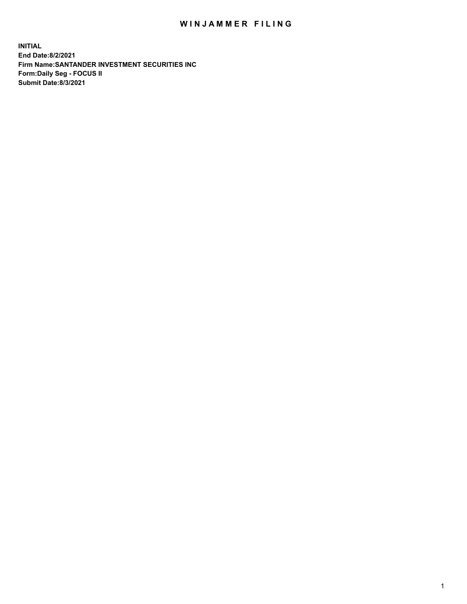## WIN JAMMER FILING

**INITIAL End Date:8/2/2021 Firm Name:SANTANDER INVESTMENT SECURITIES INC Form:Daily Seg - FOCUS II Submit Date:8/3/2021**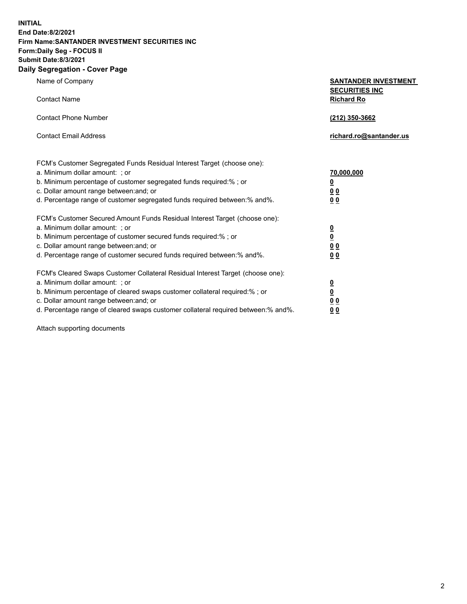**INITIAL End Date:8/2/2021 Firm Name:SANTANDER INVESTMENT SECURITIES INC Form:Daily Seg - FOCUS II Submit Date:8/3/2021 Daily Segregation - Cover Page**

Name of Company **SANTANDER INVESTMENT SECURITIES INC** Contact Name **Richard Ro** Contact Phone Number **(212) 350-3662** Contact Email Address **richard.ro@santander.us** FCM's Customer Segregated Funds Residual Interest Target (choose one): a. Minimum dollar amount: ; or **70,000,000** b. Minimum percentage of customer segregated funds required:% ; or **0** c. Dollar amount range between:and; or **0 0** d. Percentage range of customer segregated funds required between:% and%. **0 0** FCM's Customer Secured Amount Funds Residual Interest Target (choose one): a. Minimum dollar amount: ; or **0** b. Minimum percentage of customer secured funds required:% ; or **0** c. Dollar amount range between:and; or **0 0** d. Percentage range of customer secured funds required between:% and%. **0 0** FCM's Cleared Swaps Customer Collateral Residual Interest Target (choose one): a. Minimum dollar amount: ; or **0** b. Minimum percentage of cleared swaps customer collateral required:% ; or **0** c. Dollar amount range between:and; or **0 0**

d. Percentage range of cleared swaps customer collateral required between:% and%. **0 0**

Attach supporting documents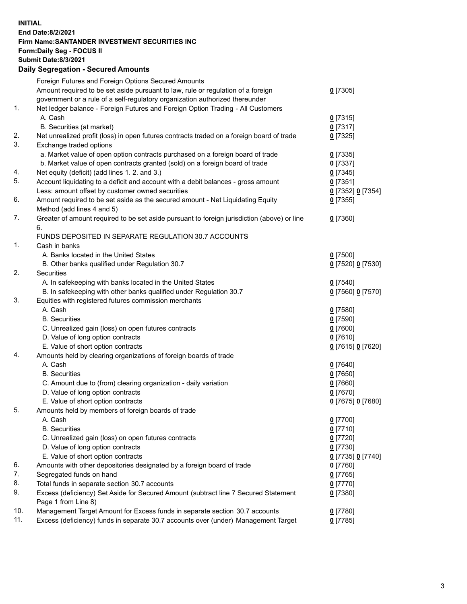## **INITIAL End Date:8/2/2021 Firm Name:SANTANDER INVESTMENT SECURITIES INC Form:Daily Seg - FOCUS II Submit Date:8/3/2021 Daily Segregation - Secured Amounts** Foreign Futures and Foreign Options Secured Amounts Amount required to be set aside pursuant to law, rule or regulation of a foreign government or a rule of a self-regulatory organization authorized thereunder 1. Net ledger balance - Foreign Futures and Foreign Option Trading - All Customers

|     | A. Cash                                                                                     | $0$ [7315]          |
|-----|---------------------------------------------------------------------------------------------|---------------------|
|     | B. Securities (at market)                                                                   | $0$ [7317]          |
| 2.  | Net unrealized profit (loss) in open futures contracts traded on a foreign board of trade   | $0$ [7325]          |
| 3.  | Exchange traded options                                                                     |                     |
|     | a. Market value of open option contracts purchased on a foreign board of trade              | $0$ [7335]          |
|     | b. Market value of open contracts granted (sold) on a foreign board of trade                | $0$ [7337]          |
| 4.  | Net equity (deficit) (add lines 1. 2. and 3.)                                               | $0$ [7345]          |
| 5.  | Account liquidating to a deficit and account with a debit balances - gross amount           | $0$ [7351]          |
|     | Less: amount offset by customer owned securities                                            | 0 [7352] 0 [7354]   |
| 6.  | Amount required to be set aside as the secured amount - Net Liquidating Equity              | $0$ [7355]          |
|     | Method (add lines 4 and 5)                                                                  |                     |
| 7.  | Greater of amount required to be set aside pursuant to foreign jurisdiction (above) or line | $0$ [7360]          |
|     | 6.                                                                                          |                     |
|     | FUNDS DEPOSITED IN SEPARATE REGULATION 30.7 ACCOUNTS                                        |                     |
| 1.  | Cash in banks                                                                               |                     |
|     | A. Banks located in the United States                                                       | $0$ [7500]          |
|     | B. Other banks qualified under Regulation 30.7                                              | 0 [7520] 0 [7530]   |
| 2.  | Securities                                                                                  |                     |
|     | A. In safekeeping with banks located in the United States                                   | $0$ [7540]          |
|     | B. In safekeeping with other banks qualified under Regulation 30.7                          | 0 [7560] 0 [7570]   |
| 3.  | Equities with registered futures commission merchants                                       |                     |
|     | A. Cash                                                                                     | $0$ [7580]          |
|     | <b>B.</b> Securities                                                                        | $0$ [7590]          |
|     | C. Unrealized gain (loss) on open futures contracts                                         | $0$ [7600]          |
|     | D. Value of long option contracts                                                           | $0$ [7610]          |
|     | E. Value of short option contracts                                                          | 0 [7615] 0 [7620]   |
| 4.  | Amounts held by clearing organizations of foreign boards of trade                           |                     |
|     | A. Cash                                                                                     | $0$ [7640]          |
|     | <b>B.</b> Securities                                                                        | $0$ [7650]          |
|     | C. Amount due to (from) clearing organization - daily variation                             | $0$ [7660]          |
|     | D. Value of long option contracts                                                           | 0 <sup>[7670]</sup> |
|     | E. Value of short option contracts                                                          | 0 [7675] 0 [7680]   |
| 5.  | Amounts held by members of foreign boards of trade                                          |                     |
|     | A. Cash                                                                                     | 0 [7700]            |
|     | <b>B.</b> Securities                                                                        | $0$ [7710]          |
|     | C. Unrealized gain (loss) on open futures contracts                                         | $0$ [7720]          |
|     | D. Value of long option contracts                                                           | $0$ [7730]          |
|     | E. Value of short option contracts                                                          | 0 [7735] 0 [7740]   |
| 6.  | Amounts with other depositories designated by a foreign board of trade                      | $0$ [7760]          |
| 7.  | Segregated funds on hand                                                                    | $0$ [7765]          |
| 8.  | Total funds in separate section 30.7 accounts                                               | $0$ [7770]          |
| 9.  | Excess (deficiency) Set Aside for Secured Amount (subtract line 7 Secured Statement         | $0$ [7380]          |
|     | Page 1 from Line 8)                                                                         |                     |
| 10. | Management Target Amount for Excess funds in separate section 30.7 accounts                 | $0$ [7780]          |
| 11. | Excess (deficiency) funds in separate 30.7 accounts over (under) Management Target          | $0$ [7785]          |

**0** [7305]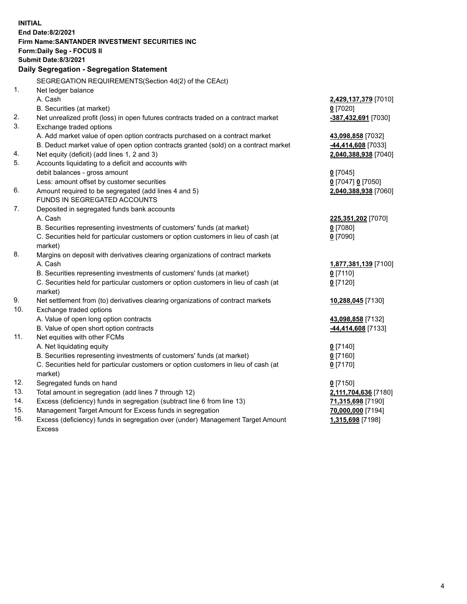| <b>INITIAL</b>     |                                                                                           |                      |  |  |
|--------------------|-------------------------------------------------------------------------------------------|----------------------|--|--|
| End Date: 8/2/2021 |                                                                                           |                      |  |  |
|                    | Firm Name: SANTANDER INVESTMENT SECURITIES INC                                            |                      |  |  |
|                    | <b>Form:Daily Seg - FOCUS II</b>                                                          |                      |  |  |
|                    | <b>Submit Date:8/3/2021</b>                                                               |                      |  |  |
|                    | Daily Segregation - Segregation Statement                                                 |                      |  |  |
|                    | SEGREGATION REQUIREMENTS(Section 4d(2) of the CEAct)                                      |                      |  |  |
| 1.                 | Net ledger balance                                                                        |                      |  |  |
|                    | A. Cash                                                                                   | 2,429,137,379 [7010] |  |  |
|                    | B. Securities (at market)                                                                 | $0$ [7020]           |  |  |
| 2.                 | Net unrealized profit (loss) in open futures contracts traded on a contract market        | -387,432,691 [7030]  |  |  |
| 3.                 | Exchange traded options                                                                   |                      |  |  |
|                    | A. Add market value of open option contracts purchased on a contract market               | 43,098,858 [7032]    |  |  |
|                    | B. Deduct market value of open option contracts granted (sold) on a contract market       | -44,414,608 [7033]   |  |  |
| 4.                 | Net equity (deficit) (add lines 1, 2 and 3)                                               | 2,040,388,938 [7040] |  |  |
| 5.                 | Accounts liquidating to a deficit and accounts with                                       |                      |  |  |
|                    | debit balances - gross amount                                                             | $0$ [7045]           |  |  |
|                    | Less: amount offset by customer securities                                                | 0 [7047] 0 [7050]    |  |  |
| 6.                 | Amount required to be segregated (add lines 4 and 5)                                      | 2,040,388,938 [7060] |  |  |
|                    | FUNDS IN SEGREGATED ACCOUNTS                                                              |                      |  |  |
| 7.                 | Deposited in segregated funds bank accounts                                               |                      |  |  |
|                    | A. Cash                                                                                   | 225,351,202 [7070]   |  |  |
|                    | B. Securities representing investments of customers' funds (at market)                    | $0$ [7080]           |  |  |
|                    | C. Securities held for particular customers or option customers in lieu of cash (at       | $0$ [7090]           |  |  |
| 8.                 | market)                                                                                   |                      |  |  |
|                    | Margins on deposit with derivatives clearing organizations of contract markets<br>A. Cash | 1,877,381,139 [7100] |  |  |
|                    | B. Securities representing investments of customers' funds (at market)                    | $0$ [7110]           |  |  |
|                    | C. Securities held for particular customers or option customers in lieu of cash (at       | $0$ [7120]           |  |  |
|                    | market)                                                                                   |                      |  |  |
| 9.                 | Net settlement from (to) derivatives clearing organizations of contract markets           | 10,288,045 [7130]    |  |  |
| 10.                | Exchange traded options                                                                   |                      |  |  |
|                    | A. Value of open long option contracts                                                    | 43,098,858 [7132]    |  |  |
|                    | B. Value of open short option contracts                                                   | -44,414,608 [7133]   |  |  |
| 11.                | Net equities with other FCMs                                                              |                      |  |  |
|                    | A. Net liquidating equity                                                                 | $0$ [7140]           |  |  |
|                    | B. Securities representing investments of customers' funds (at market)                    | $0$ [7160]           |  |  |
|                    | C. Securities held for particular customers or option customers in lieu of cash (at       | $0$ [7170]           |  |  |
|                    | market)                                                                                   |                      |  |  |
| 12.                | Segregated funds on hand                                                                  | $0$ [7150]           |  |  |
| 13.                | Total amount in segregation (add lines 7 through 12)                                      | 2,111,704,636 [7180] |  |  |
| 14.                | Excess (deficiency) funds in segregation (subtract line 6 from line 13)                   | 71,315,698 [7190]    |  |  |
| 15.                | Management Target Amount for Excess funds in segregation                                  | 70,000,000 [7194]    |  |  |
| 16.                | Excess (deficiency) funds in segregation over (under) Management Target Amount            | 1,315,698 [7198]     |  |  |
|                    | <b>Excess</b>                                                                             |                      |  |  |